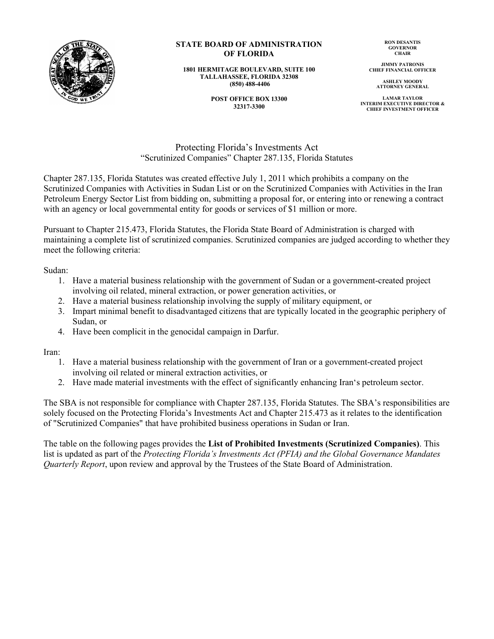

## **STATE BOARD OF ADMINISTRATION OF FLORIDA**

**1801 HERMITAGE BOULEVARD, SUITE 100 TALLAHASSEE, FLORIDA 32308 (850) 488-4406**

> **POST OFFICE BOX 13300 32317-3300**

**RON DESANTIS GOVERNOR CHAIR**

**JIMMY PATRONIS CHIEF FINANCIAL OFFICER**

> **ASHLEY MOODY ATTORNEY GENERAL**

**LAMAR TAYLOR INTERIM EXECUTIVE DIRECTOR & CHIEF INVESTMENT OFFICER**

Protecting Florida's Investments Act "Scrutinized Companies" Chapter 287.135, Florida Statutes

Chapter 287.135, Florida Statutes was created effective July 1, 2011 which prohibits a company on the Scrutinized Companies with Activities in Sudan List or on the Scrutinized Companies with Activities in the Iran Petroleum Energy Sector List from bidding on, submitting a proposal for, or entering into or renewing a contract with an agency or local governmental entity for goods or services of \$1 million or more.

Pursuant to Chapter 215.473, Florida Statutes, the Florida State Board of Administration is charged with maintaining a complete list of scrutinized companies. Scrutinized companies are judged according to whether they meet the following criteria:

Sudan:

- 1. Have a material business relationship with the government of Sudan or a government-created project involving oil related, mineral extraction, or power generation activities, or
- 2. Have a material business relationship involving the supply of military equipment, or
- 3. Impart minimal benefit to disadvantaged citizens that are typically located in the geographic periphery of Sudan, or
- 4. Have been complicit in the genocidal campaign in Darfur.

Iran:

- 1. Have a material business relationship with the government of Iran or a government-created project involving oil related or mineral extraction activities, or
- 2. Have made material investments with the effect of significantly enhancing Iran's petroleum sector.

The SBA is not responsible for compliance with Chapter 287.135, Florida Statutes. The SBA's responsibilities are solely focused on the Protecting Florida's Investments Act and Chapter 215.473 as it relates to the identification of "Scrutinized Companies" that have prohibited business operations in Sudan or Iran.

The table on the following pages provides the **List of Prohibited Investments (Scrutinized Companies)**. This list is updated as part of the *Protecting Florida's Investments Act (PFIA) and the Global Governance Mandates Quarterly Report*, upon review and approval by the Trustees of the State Board of Administration.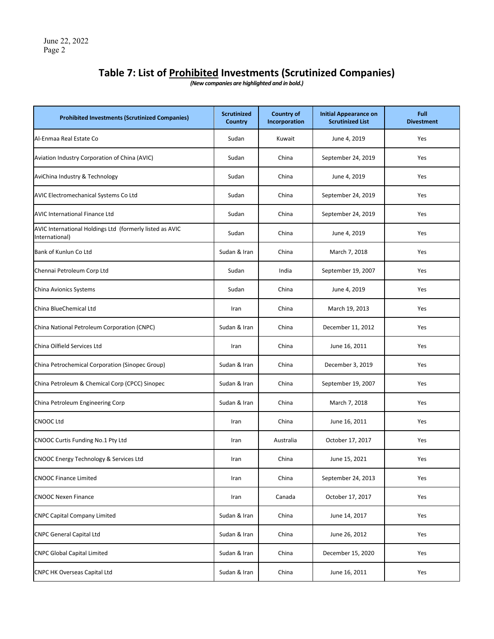## **Table 7: List of Prohibited Investments (Scrutinized Companies)**

*(New companies are highlighted and in bold.)*

| <b>Prohibited Investments (Scrutinized Companies)</b>                      | <b>Scrutinized</b><br><b>Country</b> | <b>Country of</b><br>Incorporation | <b>Initial Appearance on</b><br><b>Scrutinized List</b> | Full<br><b>Divestment</b> |
|----------------------------------------------------------------------------|--------------------------------------|------------------------------------|---------------------------------------------------------|---------------------------|
| Al-Enmaa Real Estate Co                                                    | Sudan                                | Kuwait                             | June 4, 2019                                            | Yes                       |
| Aviation Industry Corporation of China (AVIC)                              | Sudan                                | China                              | September 24, 2019                                      | Yes                       |
| AviChina Industry & Technology                                             | Sudan                                | China                              | June 4, 2019                                            | Yes                       |
| AVIC Electromechanical Systems Co Ltd                                      | Sudan                                | China                              | September 24, 2019                                      | Yes                       |
| <b>AVIC International Finance Ltd</b>                                      | Sudan                                | China                              | September 24, 2019                                      | Yes                       |
| AVIC International Holdings Ltd (formerly listed as AVIC<br>International) | Sudan                                | China                              | June 4, 2019                                            | Yes                       |
| Bank of Kunlun Co Ltd                                                      | Sudan & Iran                         | China                              | March 7, 2018                                           | Yes                       |
| Chennai Petroleum Corp Ltd                                                 | Sudan                                | India                              | September 19, 2007                                      | Yes                       |
| China Avionics Systems                                                     | Sudan                                | China                              | June 4, 2019                                            | Yes                       |
| China BlueChemical Ltd                                                     | Iran                                 | China                              | March 19, 2013                                          | Yes                       |
| China National Petroleum Corporation (CNPC)                                | Sudan & Iran                         | China                              | December 11, 2012                                       | Yes                       |
| China Oilfield Services Ltd                                                | Iran                                 | China                              | June 16, 2011                                           | Yes                       |
| China Petrochemical Corporation (Sinopec Group)                            | Sudan & Iran                         | China                              | December 3, 2019                                        | Yes                       |
| China Petroleum & Chemical Corp (CPCC) Sinopec                             | Sudan & Iran                         | China                              | September 19, 2007                                      | Yes                       |
| China Petroleum Engineering Corp                                           | Sudan & Iran                         | China                              | March 7, 2018                                           | Yes                       |
| <b>CNOOC Ltd</b>                                                           | Iran                                 | China                              | June 16, 2011                                           | Yes                       |
| CNOOC Curtis Funding No.1 Pty Ltd                                          | Iran                                 | Australia                          | October 17, 2017                                        | Yes                       |
| CNOOC Energy Technology & Services Ltd                                     | Iran                                 | China                              | June 15, 2021                                           | Yes                       |
| <b>CNOOC Finance Limited</b>                                               | Iran                                 | China                              | September 24, 2013                                      | Yes                       |
| <b>CNOOC Nexen Finance</b>                                                 | Iran                                 | Canada                             | October 17, 2017                                        | Yes                       |
| <b>CNPC Capital Company Limited</b>                                        | Sudan & Iran                         | China                              | June 14, 2017                                           | Yes                       |
| <b>CNPC General Capital Ltd</b>                                            | Sudan & Iran                         | China                              | June 26, 2012                                           | Yes                       |
| <b>CNPC Global Capital Limited</b>                                         | Sudan & Iran                         | China                              | December 15, 2020                                       | Yes                       |
| <b>CNPC HK Overseas Capital Ltd</b>                                        | Sudan & Iran                         | China                              | June 16, 2011                                           | Yes                       |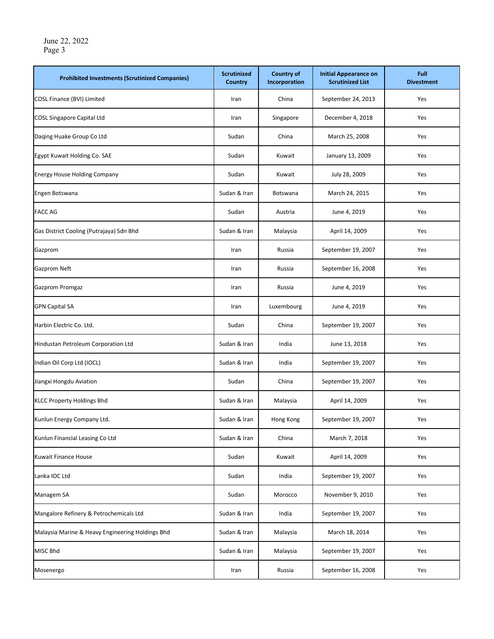| <b>Prohibited Investments (Scrutinized Companies)</b> | <b>Scrutinized</b><br><b>Country</b> | <b>Country of</b><br>Incorporation | <b>Initial Appearance on</b><br><b>Scrutinized List</b> | Full<br><b>Divestment</b> |
|-------------------------------------------------------|--------------------------------------|------------------------------------|---------------------------------------------------------|---------------------------|
| COSL Finance (BVI) Limited                            | Iran                                 | China                              | September 24, 2013                                      | Yes                       |
| <b>COSL Singapore Capital Ltd</b>                     | Iran                                 | Singapore                          | December 4, 2018                                        | Yes                       |
| Daqing Huake Group Co Ltd                             | Sudan                                | China                              | March 25, 2008                                          | Yes                       |
| Egypt Kuwait Holding Co. SAE                          | Sudan                                | Kuwait                             | January 13, 2009                                        | Yes                       |
| <b>Energy House Holding Company</b>                   | Sudan                                | Kuwait                             | July 28, 2009                                           | Yes                       |
| Engen Botswana                                        | Sudan & Iran                         | Botswana                           | March 24, 2015                                          | Yes                       |
| <b>FACC AG</b>                                        | Sudan                                | Austria                            | June 4, 2019                                            | Yes                       |
| Gas District Cooling (Putrajaya) Sdn Bhd              | Sudan & Iran                         | Malaysia                           | April 14, 2009                                          | Yes                       |
| Gazprom                                               | Iran                                 | Russia                             | September 19, 2007                                      | Yes                       |
| Gazprom Neft                                          | Iran                                 | Russia                             | September 16, 2008                                      | Yes                       |
| Gazprom Promgaz                                       | Iran                                 | Russia                             | June 4, 2019                                            | Yes                       |
| <b>GPN Capital SA</b>                                 | Iran                                 | Luxembourg                         | June 4, 2019                                            | Yes                       |
| Harbin Electric Co. Ltd.                              | Sudan                                | China                              | September 19, 2007                                      | Yes                       |
| Hindustan Petroleum Corporation Ltd                   | Sudan & Iran                         | India                              | June 13, 2018                                           | Yes                       |
| Indian Oil Corp Ltd (IOCL)                            | Sudan & Iran                         | India                              | September 19, 2007                                      | Yes                       |
| Jiangxi Hongdu Aviation                               | Sudan                                | China                              | September 19, 2007                                      | Yes                       |
| <b>KLCC Property Holdings Bhd</b>                     | Sudan & Iran                         | Malaysia                           | April 14, 2009                                          | Yes                       |
| Kunlun Energy Company Ltd.                            | Sudan & Iran                         | Hong Kong                          | September 19, 2007                                      | Yes                       |
| Kunlun Financial Leasing Co Ltd                       | Sudan & Iran                         | China                              | March 7, 2018                                           | Yes                       |
| Kuwait Finance House                                  | Sudan                                | Kuwait                             | April 14, 2009                                          | Yes                       |
| Lanka IOC Ltd                                         | Sudan                                | India                              | September 19, 2007                                      | Yes                       |
| Managem SA                                            | Sudan                                | Morocco                            | November 9, 2010                                        | Yes                       |
| Mangalore Refinery & Petrochemicals Ltd               | Sudan & Iran                         | India                              | September 19, 2007                                      | Yes                       |
| Malaysia Marine & Heavy Engineering Holdings Bhd      | Sudan & Iran                         | Malaysia                           | March 18, 2014                                          | Yes                       |
| MISC Bhd                                              | Sudan & Iran                         | Malaysia                           | September 19, 2007                                      | Yes                       |
| Mosenergo                                             | Iran                                 | Russia                             | September 16, 2008                                      | Yes                       |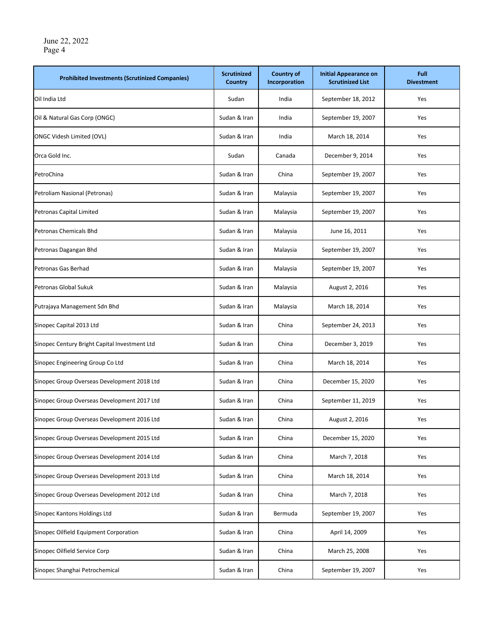| <b>Prohibited Investments (Scrutinized Companies)</b> | <b>Scrutinized</b><br><b>Country</b> | <b>Country of</b><br>Incorporation | <b>Initial Appearance on</b><br><b>Scrutinized List</b> | Full<br><b>Divestment</b> |
|-------------------------------------------------------|--------------------------------------|------------------------------------|---------------------------------------------------------|---------------------------|
| Oil India Ltd                                         | Sudan                                | India                              | September 18, 2012                                      | Yes                       |
| Oil & Natural Gas Corp (ONGC)                         | Sudan & Iran                         | India                              | September 19, 2007                                      | Yes                       |
| <b>ONGC Videsh Limited (OVL)</b>                      | Sudan & Iran                         | India                              | March 18, 2014                                          | Yes                       |
| Orca Gold Inc.                                        | Sudan                                | Canada                             | December 9, 2014                                        | Yes                       |
| PetroChina                                            | Sudan & Iran                         | China                              | September 19, 2007                                      | Yes                       |
| Petroliam Nasional (Petronas)                         | Sudan & Iran                         | Malaysia                           | September 19, 2007                                      | Yes                       |
| Petronas Capital Limited                              | Sudan & Iran                         | Malaysia                           | September 19, 2007                                      | Yes                       |
| Petronas Chemicals Bhd                                | Sudan & Iran                         | Malaysia                           | June 16, 2011                                           | Yes                       |
| Petronas Dagangan Bhd                                 | Sudan & Iran                         | Malaysia                           | September 19, 2007                                      | Yes                       |
| Petronas Gas Berhad                                   | Sudan & Iran                         | Malaysia                           | September 19, 2007                                      | Yes                       |
| Petronas Global Sukuk                                 | Sudan & Iran                         | Malaysia                           | August 2, 2016                                          | Yes                       |
| Putrajaya Management Sdn Bhd                          | Sudan & Iran                         | Malaysia                           | March 18, 2014                                          | Yes                       |
| Sinopec Capital 2013 Ltd                              | Sudan & Iran                         | China                              | September 24, 2013                                      | Yes                       |
| Sinopec Century Bright Capital Investment Ltd         | Sudan & Iran                         | China                              | December 3, 2019                                        | Yes                       |
| Sinopec Engineering Group Co Ltd                      | Sudan & Iran                         | China                              | March 18, 2014                                          | Yes                       |
| Sinopec Group Overseas Development 2018 Ltd           | Sudan & Iran                         | China                              | December 15, 2020                                       | Yes                       |
| Sinopec Group Overseas Development 2017 Ltd           | Sudan & Iran                         | China                              | September 11, 2019                                      | Yes                       |
| Sinopec Group Overseas Development 2016 Ltd           | Sudan & Iran                         | China                              | August 2, 2016                                          | Yes                       |
| Sinopec Group Overseas Development 2015 Ltd           | Sudan & Iran                         | China                              | December 15, 2020                                       | Yes                       |
| Sinopec Group Overseas Development 2014 Ltd           | Sudan & Iran                         | China                              | March 7, 2018                                           | Yes                       |
| Sinopec Group Overseas Development 2013 Ltd           | Sudan & Iran                         | China                              | March 18, 2014                                          | Yes                       |
| Sinopec Group Overseas Development 2012 Ltd           | Sudan & Iran                         | China                              | March 7, 2018                                           | Yes                       |
| Sinopec Kantons Holdings Ltd                          | Sudan & Iran                         | Bermuda                            | September 19, 2007                                      | Yes                       |
| Sinopec Oilfield Equipment Corporation                | Sudan & Iran                         | China                              | April 14, 2009                                          | Yes                       |
| Sinopec Oilfield Service Corp                         | Sudan & Iran                         | China                              | March 25, 2008                                          | Yes                       |
| Sinopec Shanghai Petrochemical                        | Sudan & Iran                         | China                              | September 19, 2007                                      | Yes                       |